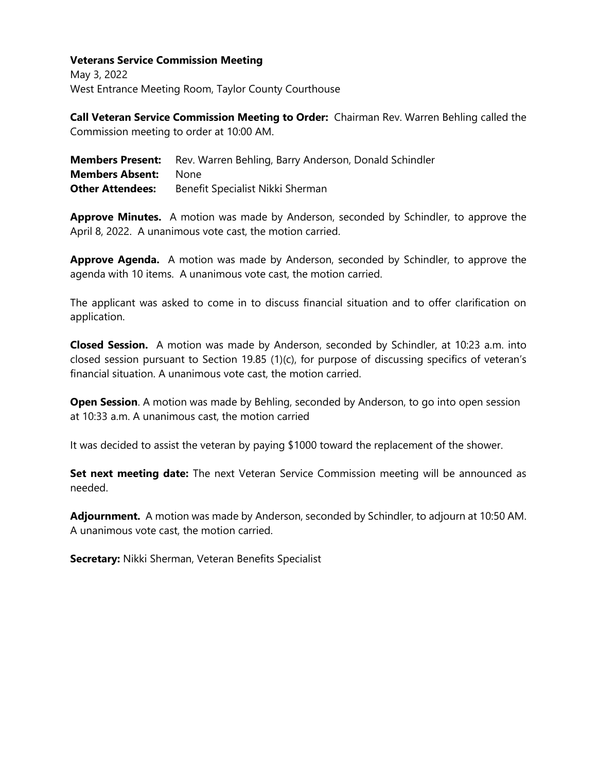## **Veterans Service Commission Meeting**

May 3, 2022 West Entrance Meeting Room, Taylor County Courthouse

**Call Veteran Service Commission Meeting to Order:** Chairman Rev. Warren Behling called the Commission meeting to order at 10:00 AM.

|                             | <b>Members Present:</b> Rev. Warren Behling, Barry Anderson, Donald Schindler |
|-----------------------------|-------------------------------------------------------------------------------|
| <b>Members Absent:</b> None |                                                                               |
| <b>Other Attendees:</b>     | Benefit Specialist Nikki Sherman                                              |

**Approve Minutes.** A motion was made by Anderson, seconded by Schindler, to approve the April 8, 2022. A unanimous vote cast, the motion carried.

**Approve Agenda.** A motion was made by Anderson, seconded by Schindler, to approve the agenda with 10 items. A unanimous vote cast, the motion carried.

The applicant was asked to come in to discuss financial situation and to offer clarification on application.

**Closed Session.** A motion was made by Anderson, seconded by Schindler, at 10:23 a.m. into closed session pursuant to Section 19.85 (1)(c), for purpose of discussing specifics of veteran's financial situation. A unanimous vote cast, the motion carried.

**Open Session**. A motion was made by Behling, seconded by Anderson, to go into open session at 10:33 a.m. A unanimous cast, the motion carried

It was decided to assist the veteran by paying \$1000 toward the replacement of the shower.

**Set next meeting date:** The next Veteran Service Commission meeting will be announced as needed.

**Adjournment.** A motion was made by Anderson, seconded by Schindler, to adjourn at 10:50 AM. A unanimous vote cast, the motion carried.

**Secretary:** Nikki Sherman, Veteran Benefits Specialist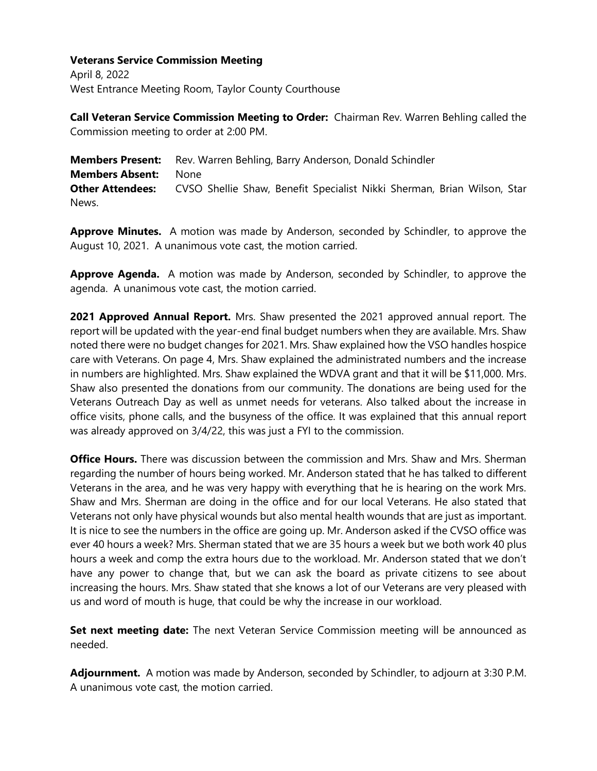## **Veterans Service Commission Meeting**

April 8, 2022 West Entrance Meeting Room, Taylor County Courthouse

**Call Veteran Service Commission Meeting to Order:** Chairman Rev. Warren Behling called the Commission meeting to order at 2:00 PM.

**Members Present:** Rev. Warren Behling, Barry Anderson, Donald Schindler **Members Absent:** None **Other Attendees:** CVSO Shellie Shaw, Benefit Specialist Nikki Sherman, Brian Wilson, Star News.

**Approve Minutes.** A motion was made by Anderson, seconded by Schindler, to approve the August 10, 2021. A unanimous vote cast, the motion carried.

**Approve Agenda.** A motion was made by Anderson, seconded by Schindler, to approve the agenda. A unanimous vote cast, the motion carried.

**2021 Approved Annual Report.** Mrs. Shaw presented the 2021 approved annual report. The report will be updated with the year-end final budget numbers when they are available. Mrs. Shaw noted there were no budget changes for 2021. Mrs. Shaw explained how the VSO handles hospice care with Veterans. On page 4, Mrs. Shaw explained the administrated numbers and the increase in numbers are highlighted. Mrs. Shaw explained the WDVA grant and that it will be \$11,000. Mrs. Shaw also presented the donations from our community. The donations are being used for the Veterans Outreach Day as well as unmet needs for veterans. Also talked about the increase in office visits, phone calls, and the busyness of the office. It was explained that this annual report was already approved on 3/4/22, this was just a FYI to the commission.

**Office Hours.** There was discussion between the commission and Mrs. Shaw and Mrs. Sherman regarding the number of hours being worked. Mr. Anderson stated that he has talked to different Veterans in the area, and he was very happy with everything that he is hearing on the work Mrs. Shaw and Mrs. Sherman are doing in the office and for our local Veterans. He also stated that Veterans not only have physical wounds but also mental health wounds that are just as important. It is nice to see the numbers in the office are going up. Mr. Anderson asked if the CVSO office was ever 40 hours a week? Mrs. Sherman stated that we are 35 hours a week but we both work 40 plus hours a week and comp the extra hours due to the workload. Mr. Anderson stated that we don't have any power to change that, but we can ask the board as private citizens to see about increasing the hours. Mrs. Shaw stated that she knows a lot of our Veterans are very pleased with us and word of mouth is huge, that could be why the increase in our workload.

**Set next meeting date:** The next Veteran Service Commission meeting will be announced as needed.

**Adjournment.** A motion was made by Anderson, seconded by Schindler, to adjourn at 3:30 P.M. A unanimous vote cast, the motion carried.